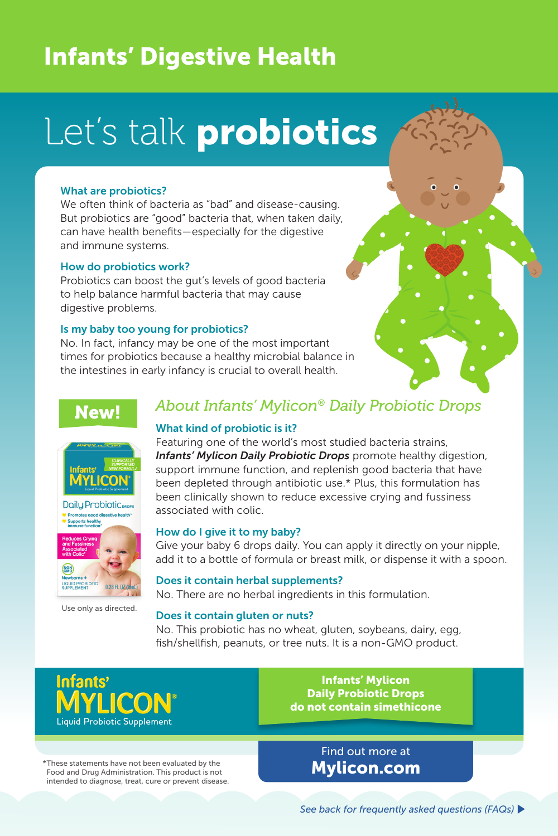## Infants' Digestive Health

# Let's talk probiotics

#### What are probiotics?

We often think of bacteria as "bad" and disease-causing. But probiotics are "good" bacteria that, when taken daily, can have health benefits—especially for the digestive and immune systems.

#### How do probiotics work?

Probiotics can boost the gut's levels of good bacteria to help balance harmful bacteria that may cause digestive problems.

#### Is my baby too young for probiotics?

No. In fact, infancy may be one of the most important times for probiotics because a healthy microbial balance in the intestines in early infancy is crucial to overall health.

## New!





Use only as directed.

## *About Infants' Mylicon® Daily Probiotic Drops*

#### What kind of probiotic is it?

Featuring one of the world's most studied bacteria strains, **Infants' Mylicon Daily Probiotic Drops** promote healthy digestion, support immune function, and replenish good bacteria that have been depleted through antibiotic use.\* Plus, this formulation has been clinically shown to reduce excessive crying and fussiness  $\frac{1}{2}$  Promotes good digestive health.  $\frac{1}{2}$  associated with colic.

#### How do I give it to my baby?

Give your baby 6 drops daily. You can apply it directly on your nipple, add it to a bottle of formula or breast milk, or dispense it with a spoon.

Does it contain herbal supplements? No. There are no herbal ingredients in this formulation.

#### Does it contain gluten or nuts?

No. This probiotic has no wheat, gluten, soybeans, dairy, egg, fish/shellfish, peanuts, or tree nuts. It is a non-GMO product.

**Intants** Liquid Probiotic Supplement

\*These statements have not been evaluated by the Food and Drug Administration. This product is not intended to diagnose, treat, cure or prevent disease.

Infants' Mylicon Daily Probiotic Drops do not contain simethicone

> Find out more at Mylicon.com